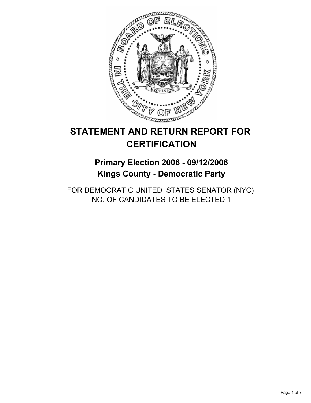

# **STATEMENT AND RETURN REPORT FOR CERTIFICATION**

# **Primary Election 2006 - 09/12/2006 Kings County - Democratic Party**

FOR DEMOCRATIC UNITED STATES SENATOR (NYC) NO. OF CANDIDATES TO BE ELECTED 1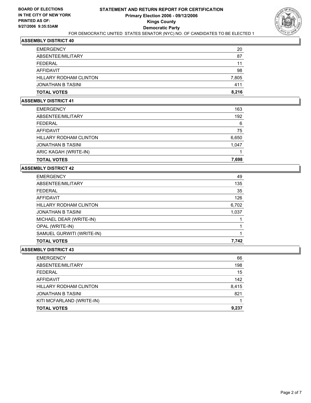

| <b>TOTAL VOTES</b>     | 8,216 |
|------------------------|-------|
| JONATHAN B TASINI      | 411   |
| HILLARY RODHAM CLINTON | 7,805 |
| AFFIDAVIT              | 98    |
| FEDERAL                | 11    |
| ABSENTEE/MILITARY      | 87    |
| <b>EMERGENCY</b>       | 20    |

#### **ASSEMBLY DISTRICT 41**

| <b>EMERGENCY</b>         | 163   |
|--------------------------|-------|
| ABSENTEE/MILITARY        | 192   |
| FEDERAL                  | 6     |
| AFFIDAVIT                | 75    |
| HILLARY RODHAM CLINTON   | 6,650 |
| <b>JONATHAN B TASINI</b> | 1,047 |
| ARIC KAGAH (WRITE-IN)    |       |
| <b>TOTAL VOTES</b>       | 7,698 |

# **ASSEMBLY DISTRICT 42**

| <b>EMERGENCY</b>              | 49    |
|-------------------------------|-------|
| ABSENTEE/MILITARY             | 135   |
| <b>FEDERAL</b>                | 35    |
| AFFIDAVIT                     | 126   |
| <b>HILLARY RODHAM CLINTON</b> | 6,702 |
| <b>JONATHAN B TASINI</b>      | 1,037 |
| MICHAEL DEAR (WRITE-IN)       |       |
| OPAL (WRITE-IN)               |       |
| SAMUEL GURWITI (WRITE-IN)     |       |
| <b>TOTAL VOTES</b>            | 7,742 |
|                               |       |

| <b>EMERGENCY</b>          | 66    |
|---------------------------|-------|
| ABSENTEE/MILITARY         | 198   |
| <b>FEDERAL</b>            | 15    |
| AFFIDAVIT                 | 142   |
| HILLARY RODHAM CLINTON    | 8,415 |
| <b>JONATHAN B TASINI</b>  | 821   |
| KITI MCFARLAND (WRITE-IN) |       |
| <b>TOTAL VOTES</b>        | 9,237 |
|                           |       |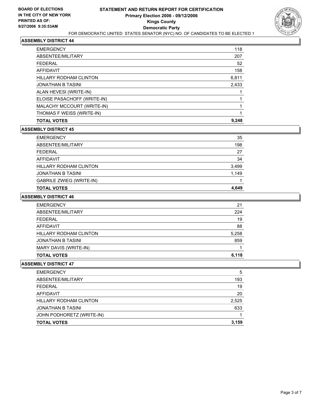

| 118<br><b>EMERGENCY</b>           |    |
|-----------------------------------|----|
| ABSENTEE/MILITARY<br>207          |    |
| <b>FEDERAL</b>                    | 52 |
| 158<br>AFFIDAVIT                  |    |
| HILLARY RODHAM CLINTON<br>6,811   |    |
| 2,433<br><b>JONATHAN B TASINI</b> |    |
| ALAN HEVESI (WRITE-IN)            |    |
| ELOISE PASACHOFF (WRITE-IN)       |    |
| MALACHY MCCOURT (WRITE-IN)        |    |
| THOMAS F WEISS (WRITE-IN)         |    |
| 9,248<br><b>TOTAL VOTES</b>       |    |

## **ASSEMBLY DISTRICT 45**

| <b>EMERGENCY</b>                | 35    |
|---------------------------------|-------|
| ABSENTEE/MILITARY               | 198   |
| <b>FEDERAL</b>                  | 27    |
| AFFIDAVIT                       | 34    |
| <b>HILLARY RODHAM CLINTON</b>   | 3,499 |
| <b>JONATHAN B TASINI</b>        | 1,149 |
| <b>GABRILE ZWIEG (WRITE-IN)</b> |       |
| <b>TOTAL VOTES</b>              | 4.649 |

## **ASSEMBLY DISTRICT 46**

| 21    |
|-------|
| 224   |
| 19    |
| 88    |
| 5,258 |
| 859   |
|       |
| 6,118 |
|       |

| 5     |
|-------|
| 193   |
| 19    |
| 20    |
| 2,525 |
| 633   |
|       |
| 3,159 |
|       |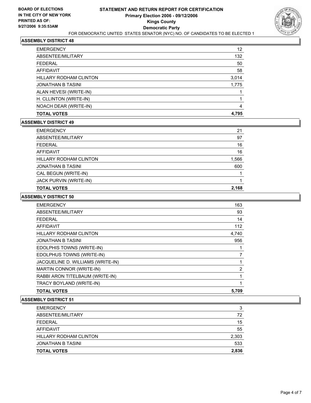

| <b>EMERGENCY</b>              | 12    |
|-------------------------------|-------|
| ABSENTEE/MILITARY             | 132   |
| FEDERAL                       | 50    |
| <b>AFFIDAVIT</b>              | 58    |
| <b>HILLARY RODHAM CLINTON</b> | 3,014 |
| <b>JONATHAN B TASINI</b>      | 1,775 |
| ALAN HEVESI (WRITE-IN)        |       |
| H. CLLINTON (WRITE-IN)        |       |
| NOACH DEAR (WRITE-IN)         | 4     |
| <b>TOTAL VOTES</b>            | 4,795 |

## **ASSEMBLY DISTRICT 49**

| <b>TOTAL VOTES</b>            | 2,168 |
|-------------------------------|-------|
| JACK PURVIN (WRITE-IN)        |       |
| CAL BEGUN (WRITE-IN)          |       |
| <b>JONATHAN B TASINI</b>      | 600   |
| <b>HILLARY RODHAM CLINTON</b> | 1,566 |
| <b>AFFIDAVIT</b>              | 16    |
| <b>FEDERAL</b>                | 16    |
| ABSENTEE/MILITARY             | 97    |
| <b>EMERGENCY</b>              | 21    |

## **ASSEMBLY DISTRICT 50**

| <b>EMERGENCY</b>                  | 163   |
|-----------------------------------|-------|
| ABSENTEE/MILITARY                 | 93    |
| <b>FEDERAL</b>                    | 14    |
| <b>AFFIDAVIT</b>                  | 112   |
| <b>HILLARY RODHAM CLINTON</b>     | 4,740 |
| <b>JONATHAN B TASINI</b>          | 956   |
| EDOLPHIS TOWNS (WRITE-IN)         |       |
| EDOLPHUS TOWNS (WRITE-IN)         |       |
| JACQUELINE D. WILLIAMS (WRITE-IN) |       |
| MARTIN CONNOR (WRITE-IN)          | 2     |
| RABBI ARON TITELBAUM (WRITE-IN)   |       |
| TRACY BOYLAND (WRITE-IN)          |       |
| <b>TOTAL VOTES</b>                | 5.709 |

| <b>EMERGENCY</b>         | 3     |
|--------------------------|-------|
| ABSENTEE/MILITARY        | 72    |
| FEDERAL                  | 15    |
| AFFIDAVIT                | 55    |
| HILLARY RODHAM CLINTON   | 2,303 |
| <b>JONATHAN B TASINI</b> | 533   |
| <b>TOTAL VOTES</b>       | 2,836 |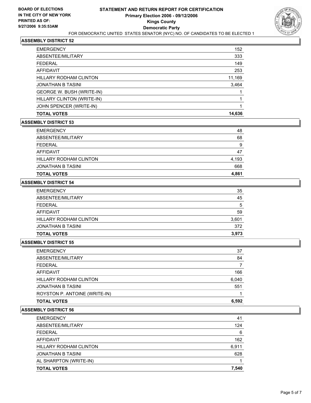

| <b>TOTAL VOTES</b>            | 14,636 |
|-------------------------------|--------|
| JOHN SPENCER (WRITE-IN)       |        |
| HILLARY CLINTON (WRITE-IN)    |        |
| GEORGE W. BUSH (WRITE-IN)     |        |
| <b>JONATHAN B TASINI</b>      | 3,464  |
| <b>HILLARY RODHAM CLINTON</b> | 11,169 |
| <b>AFFIDAVIT</b>              | 253    |
| FEDERAL                       | 149    |
| ABSENTEE/MILITARY             | 333    |
| <b>EMERGENCY</b>              | 152    |

## **ASSEMBLY DISTRICT 53**

| <b>TOTAL VOTES</b>     | 4,861 |
|------------------------|-------|
| JONATHAN B TASINI      | 668   |
| HILLARY RODHAM CLINTON | 4,193 |
| AFFIDAVIT              | 47    |
| FEDERAL                | 9     |
| ABSENTEE/MILITARY      | 68    |
| <b>EMERGENCY</b>       | 48    |

## **ASSEMBLY DISTRICT 54**

| <b>EMERGENCY</b>         | 35    |
|--------------------------|-------|
| ABSENTEE/MILITARY        | 45    |
| <b>FEDERAL</b>           | 5     |
| AFFIDAVIT                | 59    |
| HILLARY RODHAM CLINTON   | 3,601 |
| <b>JONATHAN B TASINI</b> | 372   |
| <b>TOTAL VOTES</b>       | 3.973 |

#### **ASSEMBLY DISTRICT 55**

| <b>EMERGENCY</b>              | 37    |
|-------------------------------|-------|
| ABSENTEE/MILITARY             | 84    |
| FEDERAL                       |       |
| AFFIDAVIT                     | 166   |
| <b>HILLARY RODHAM CLINTON</b> | 6,040 |
| JONATHAN B TASINI             | 551   |
| ROYSTON P. ANTOINE (WRITE-IN) |       |
| <b>TOTAL VOTES</b>            | 6,592 |
|                               |       |

| ABSENTEE/MILITARY             | 124   |
|-------------------------------|-------|
|                               |       |
| <b>FEDERAL</b>                | 6     |
| AFFIDAVIT                     | 162   |
| <b>HILLARY RODHAM CLINTON</b> | 6,911 |
| <b>JONATHAN B TASINI</b>      | 628   |
| AL SHARPTON (WRITE-IN)        |       |
| <b>TOTAL VOTES</b>            | 7,540 |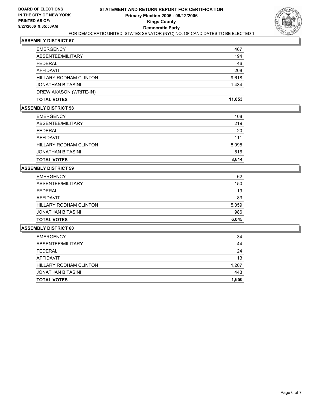

| <b>TOTAL VOTES</b>            | 11.053 |
|-------------------------------|--------|
| DREW AKASON (WRITE-IN)        |        |
| JONATHAN B TASINI             | 1,434  |
| <b>HILLARY RODHAM CLINTON</b> | 9,618  |
| AFFIDAVIT                     | 208    |
| <b>FEDERAL</b>                | 46     |
| ABSENTEE/MILITARY             | 194    |
| <b>EMERGENCY</b>              | 467    |

# **ASSEMBLY DISTRICT 58**

| <b>EMERGENCY</b>       | 108   |
|------------------------|-------|
| ABSENTEE/MILITARY      | 219   |
| FEDERAL                | 20    |
| AFFIDAVIT              | 111   |
| HILLARY RODHAM CLINTON | 8,098 |
| JONATHAN B TASINI      | 516   |
| <b>TOTAL VOTES</b>     | 8,614 |

# **ASSEMBLY DISTRICT 59**

| <b>TOTAL VOTES</b>     | 6,045 |
|------------------------|-------|
| JONATHAN B TASINI      | 986   |
| HILLARY RODHAM CLINTON | 5,059 |
| AFFIDAVIT              | 83    |
| FEDERAL                | 19    |
| ABSENTEE/MILITARY      | 150   |
| <b>EMERGENCY</b>       | 62    |

| <b>TOTAL VOTES</b>            | 1,650 |
|-------------------------------|-------|
| <b>JONATHAN B TASINI</b>      | 443   |
| <b>HILLARY RODHAM CLINTON</b> | 1,207 |
| <b>AFFIDAVIT</b>              | 13    |
| <b>FEDERAL</b>                | 24    |
| ABSENTEE/MILITARY             | 44    |
| <b>EMERGENCY</b>              | 34    |